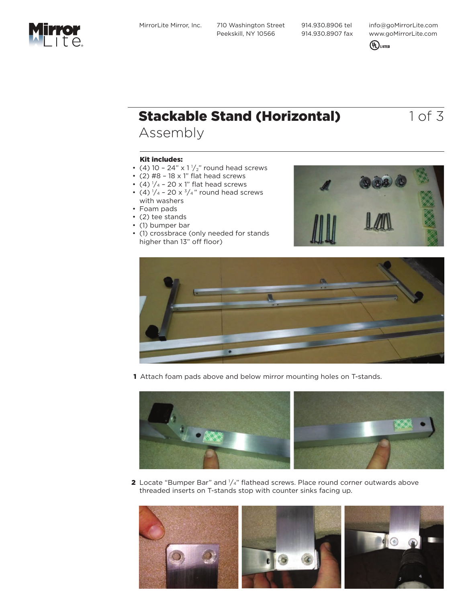MirrorLite Mirror, Inc. 710 Washington Street Peekskill, NY 10566

 914.930.8906 tel 914.930.8907 fax info@goMirrorLite.com www.goMirrorLite.com



# **Stackable Stand (Horizontal)** 1 of 3

### Assembly

#### Kit includes:

- (4) 10 24"  $\times$  1 $\frac{1}{2}$ " round head screws
- $\cdot$  (2) #8 18 x 1" flat head screws
- (4)  $\frac{1}{4}$  20 x 1" flat head screws
- (4)  $\frac{1}{4}$  20 x  $\frac{3}{4}$  round head screws with washers
- Foam pads
- (2) tee stands
- (1) bumper bar
- (1) crossbrace (only needed for stands higher than 13" off floor)





1 Attach foam pads above and below mirror mounting holes on T-stands.



**2** Locate "Bumper Bar" and  $1/4$ " flathead screws. Place round corner outwards above threaded inserts on T-stands stop with counter sinks facing up.

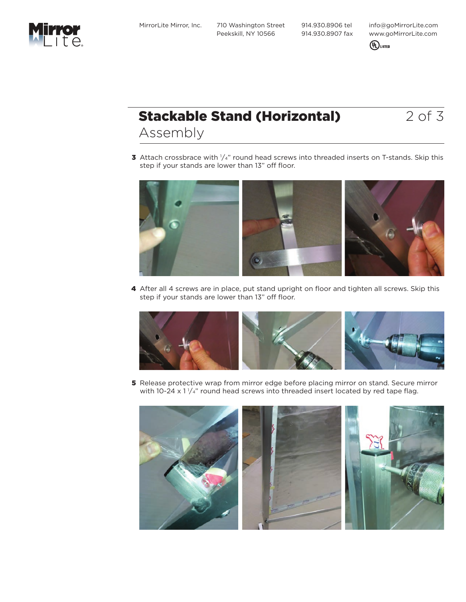MirrorLite Mirror, Inc. 710 Washington Street Peekskill, NY 10566

 914.930.8906 tel 914.930.8907 fax info@goMirrorLite.com www.goMirrorLite.com



### **Stackable Stand (Horizontal)** 2 of 3 Assembly

**3** Attach crossbrace with  $1/4$ " round head screws into threaded inserts on T-stands. Skip this step if your stands are lower than 13" off floor.



4 After all 4 screws are in place, put stand upright on floor and tighten all screws. Skip this step if your stands are lower than 13" off floor.



**5** Release protective wrap from mirror edge before placing mirror on stand. Secure mirror with 10-24 x 1  $\frac{1}{4}$ " round head screws into threaded insert located by red tape flag.